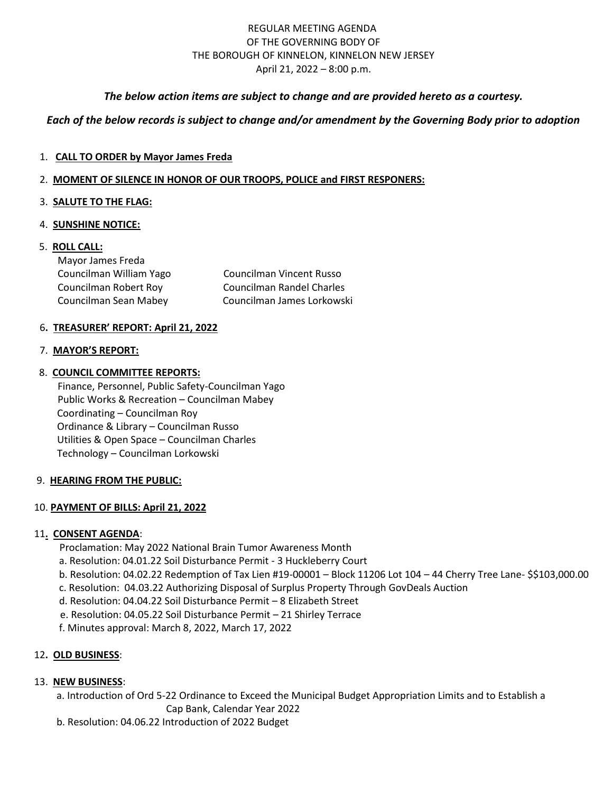## REGULAR MEETING AGENDA OF THE GOVERNING BODY OF THE BOROUGH OF KINNELON, KINNELON NEW JERSEY April 21, 2022 – 8:00 p.m.

## *The below action items are subject to change and are provided hereto as a courtesy.*

## *Each of the below records is subject to change and/or amendment by the Governing Body prior to adoption*

## 1. **CALL TO ORDER by Mayor James Freda**

#### 2. **MOMENT OF SILENCE IN HONOR OF OUR TROOPS, POLICE and FIRST RESPONERS:**

## 3. **SALUTE TO THE FLAG:**

#### 4. **SUNSHINE NOTICE:**

## 5. **ROLL CALL:**

| Mayor James Freda       |                            |
|-------------------------|----------------------------|
| Councilman William Yago | Councilman Vincent Russo   |
| Councilman Robert Roy   | Councilman Randel Charles  |
| Councilman Sean Mabey   | Councilman James Lorkowski |

## 6**. TREASURER' REPORT: April 21, 2022**

#### 7. **MAYOR'S REPORT:**

## 8. **COUNCIL COMMITTEE REPORTS:**

Finance, Personnel, Public Safety-Councilman Yago Public Works & Recreation – Councilman Mabey Coordinating – Councilman Roy Ordinance & Library – Councilman Russo Utilities & Open Space – Councilman Charles Technology – Councilman Lorkowski

#### 9. **HEARING FROM THE PUBLIC:**

## 10. **PAYMENT OF BILLS: April 21, 2022**

#### 11**. CONSENT AGENDA**:

Proclamation: May 2022 National Brain Tumor Awareness Month

- a. Resolution: 04.01.22 Soil Disturbance Permit 3 Huckleberry Court
- b. Resolution: 04.02.22 Redemption of Tax Lien #19-00001 Block 11206 Lot 104 44 Cherry Tree Lane- \$\$103,000.00
- c. Resolution: 04.03.22 Authorizing Disposal of Surplus Property Through GovDeals Auction
- d. Resolution: 04.04.22 Soil Disturbance Permit 8 Elizabeth Street
- e. Resolution: 04.05.22 Soil Disturbance Permit 21 Shirley Terrace
- f. Minutes approval: March 8, 2022, March 17, 2022

## 12**. OLD BUSINESS**:

## 13. **NEW BUSINESS**:

- a. Introduction of Ord 5-22 Ordinance to Exceed the Municipal Budget Appropriation Limits and to Establish a
	- Cap Bank, Calendar Year 2022
- b. Resolution: 04.06.22 Introduction of 2022 Budget